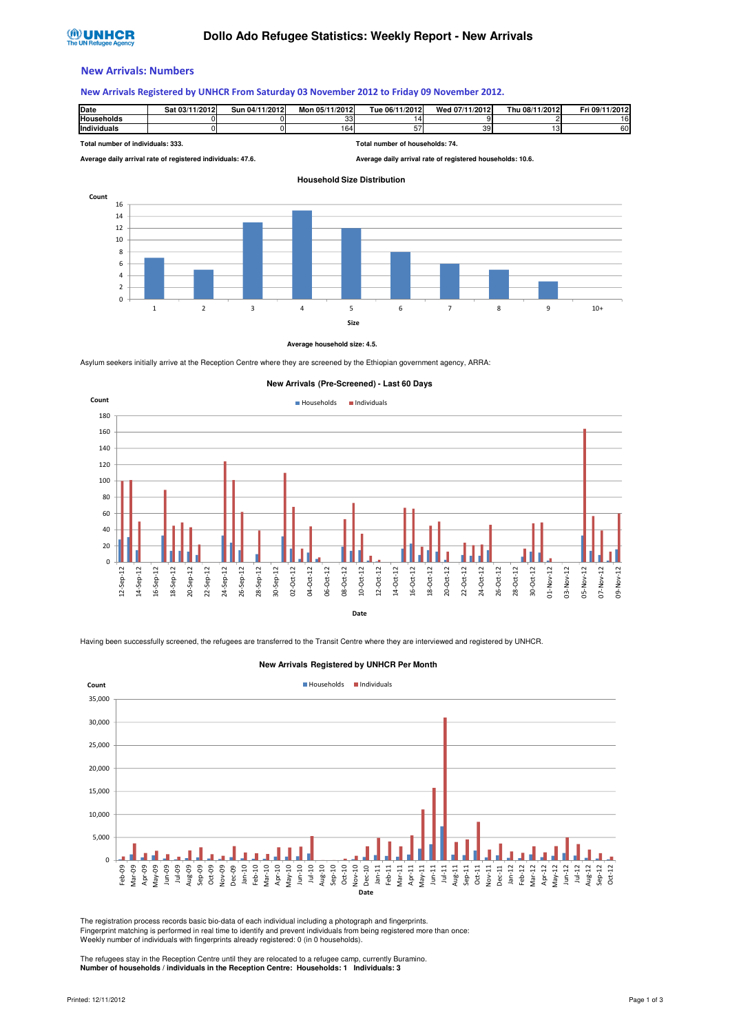# **®UNHCR**

#### New Arrivals: Numbers

#### New Arrivals Registered by UNHCR From Saturday 03 November 2012 to Friday 09 November 2012.

| Date        | Sat 03/11/2012 | 04/11/2012<br>Sun | Mon 05/11/2012 | Tue 06/11/2012 | Wed 07/11/2012 | Thu 08/11/2012 | Fri 09/11/2012 |
|-------------|----------------|-------------------|----------------|----------------|----------------|----------------|----------------|
| Households  |                |                   | oo.<br>ິບບ     |                |                |                | $\sim$<br>6    |
| Individuals |                |                   | 164            | --<br>نٽ       | 39             |                | 60             |

**Total number of individuals: 333. Total number of households: 74. Average daily arrival rate of registered individuals: 47.6. Average daily arrival rate of registered households: 10.6. Household Size Distribution**



#### **Average household size: 4.5.**

Asylum seekers initially arrive at the Reception Centre where they are screened by the Ethiopian government agency, ARRA:



Date

Having been successfully screened, the refugees are transferred to the Transit Centre where they are interviewed and registered by UNHCR.



**New Arrivals Registered by UNHCR Per Month**

The registration process records basic bio-data of each individual including a photograph and fingerprints. Fingerprint matching is performed in real time to identify and prevent individuals from being registered more than once: Weekly number of individuals with fingerprints already registered: 0 (in 0 households).

The refugees stay in the Reception Centre until they are relocated to a refugee camp, currently Buramino. **Number of households / individuals in the Reception Centre: Households: 1 Individuals: 3**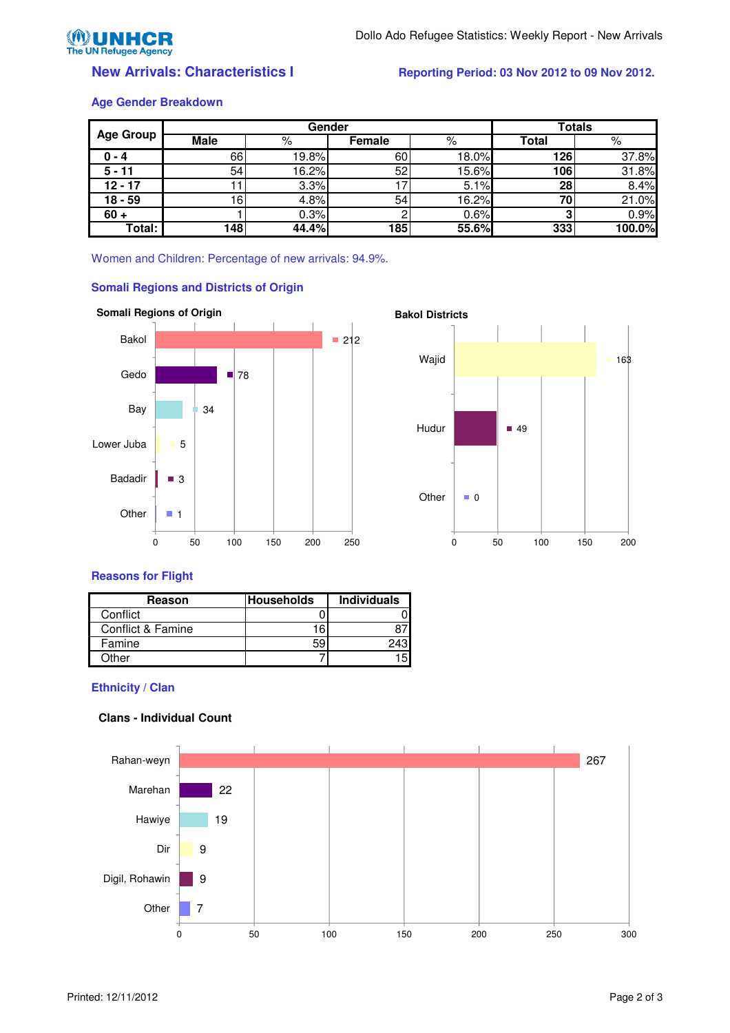

## **New Arrivals: Characteristics I Reporting Period: 03 Nov 2012 to 09 Nov 2012.**

#### **Age Gender Breakdown**

|                  | Gender |       |        |       | <b>Totals</b> |        |
|------------------|--------|-------|--------|-------|---------------|--------|
| <b>Age Group</b> | Male   | %     | Female | %     | Total         | %      |
| $0 - 4$          | 66     | 19.8% | 60     | 18.0% | 126           | 37.8%  |
| $5 - 11$         | 54     | 16.2% | 52     | 15.6% | 106           | 31.8%  |
| $12 - 17$        |        | 3.3%  |        | 5.1%  | 28            | 8.4%   |
| $18 - 59$        | 16.    | 4.8%  | 54     | 16.2% | 70            | 21.0%  |
| $60 +$           |        | 0.3%  |        | 0.6%  |               | 0.9%   |
| Total:           | 148    | 44.4% | 185    | 55.6% | 333           | 100.0% |

Women and Children: Percentage of new arrivals: 94.9%.



## **Somali Regions and Districts of Origin**



## **Reasons for Flight**

| Reason            | <b>Households</b> | <b>Individuals</b> |
|-------------------|-------------------|--------------------|
| Conflict          |                   |                    |
| Conflict & Famine | 16                |                    |
| Famine            | 59                |                    |
| റther             |                   |                    |

## **Ethnicity / Clan**

# **Clans - Individual Count**